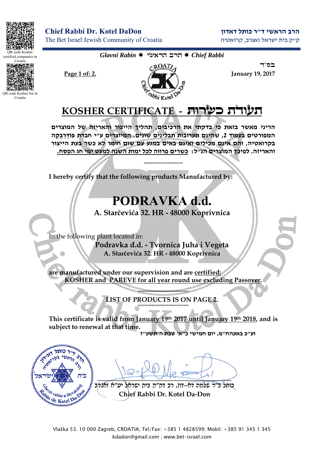

certified companies in Croatia

OR code Kosher list in Croatia

**הרב הראשי ד"ר כותל דאדון DaDon Kotel .Dr Rabbi Chief** The Bet Israel Jewish Community of Croatia קרואטיה ,זאגרב ישראל בית ק"ק

*Glavni Rabin* éùàøä áøä *Chief Rabbi* 



בס״ד

## **KOSHER CERTIFICATE -** úåøùë úãåòú

**הריי מאשר בזאת כי בדקתי את הרכיבים, תהליך הייצור והאריזה של המוצרים המפורטים בעמוד ,2 שהים תערובות תבליים שוים. המיוצרים ע"י חברת ְפּוֹדַּר ְב ָקה בקרואטיה, והם אים מכילים ואים באים במגע עם שום חומר לא כשר בעת הייצור והאריזה. לפיכך המוצרים ה"ל: כשרים פרווה לכל ימות השה למעט ימי חג הפסח.**

\*\*\*\*\*\*\*\*\*\*\*\*\*\*\*\*\*\*\*\*\*\*\*

**I hereby certify that the following products Manufactured by:** 

## **PODRAVKA d.d.**

**A. Starčevića 32. HR - 48000 Koprivnica** 

In the following plant located in: **Podravka d.d. - Tvornica Juha i Vegeta A. Starčevića 32. HR - 48000 Koprivnica** 

**are manufactured under our supervision and are certified: KOSHER and PAREVE for all year round use excluding Passover.** 

> **LIST OF PRODUCTS IS ON PAGE 2.**  \*\*\*\*\*\*\*\*\*\*\*\*\*\*\*\*\*\*\*\*\*\*\*\*\*\*\*\*\*\*

\*\*\*\*\*\*\*\*\*\*\*\*\*\*\*\*\*\*\*\*\*\*\*\*\*\*\*\*\*\*

**This certificate is valid from January 19th 2017 until January 19th 2018, and is subject to renewal at that time.** 

**וע"כ באעהח"מ, יום חמישי כ"א' טבת ה'תשע"ז**



 $\frac{1}{2}$ 

**áøâàæ à"òé ìàøùé úéá ÷"÷ã áø ,ïåã-àã äîìù ø"á ìúåë Chief Rabbi Dr. Kotel Da-Don**